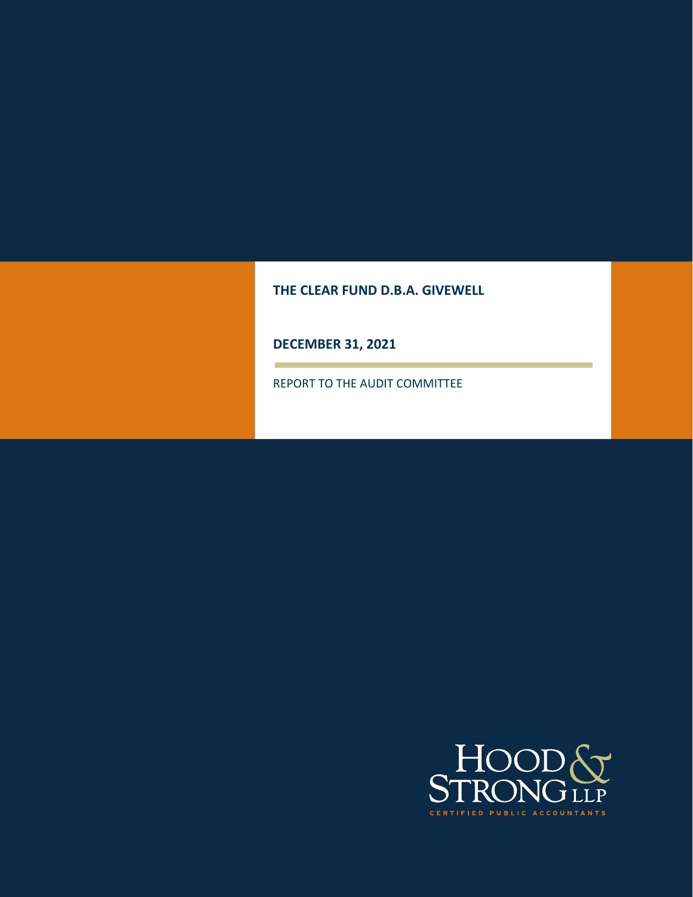**THE CLEAR FUND D.B.A. GIVEWELL**

**DECEMBER 31, 2021**

**The Common State** 

REPORT TO THE AUDIT COMMITTEE

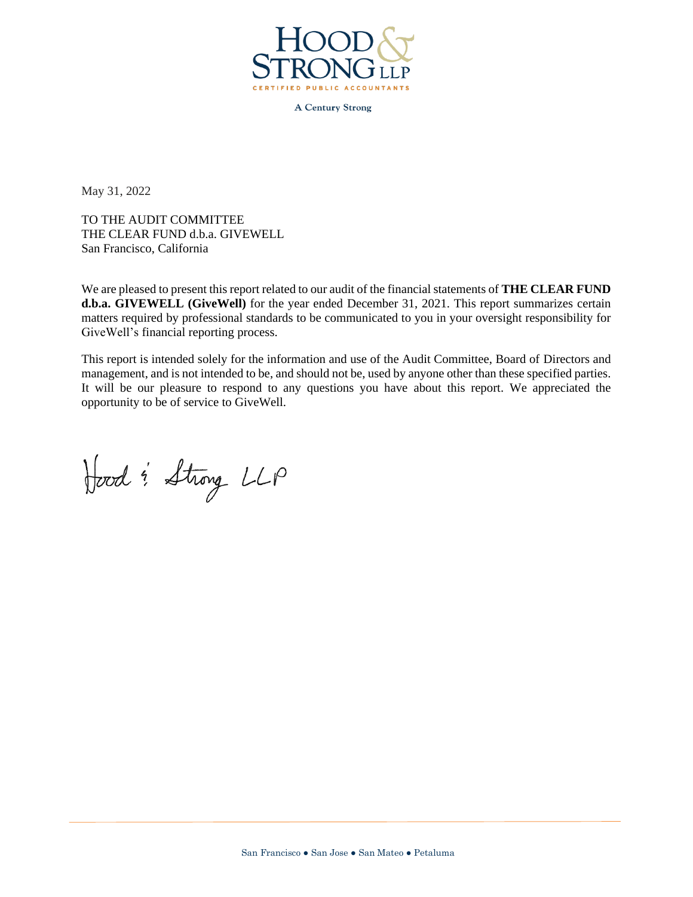

**A Century Strong** 

May 31, 2022

TO THE AUDIT COMMITTEE THE CLEAR FUND d.b.a. GIVEWELL San Francisco, California

We are pleased to present this report related to our audit of the financial statements of **THE CLEAR FUND d.b.a. GIVEWELL (GiveWell)** for the year ended December 31, 2021. This report summarizes certain matters required by professional standards to be communicated to you in your oversight responsibility for GiveWell's financial reporting process.

This report is intended solely for the information and use of the Audit Committee, Board of Directors and management, and is not intended to be, and should not be, used by anyone other than these specified parties. It will be our pleasure to respond to any questions you have about this report. We appreciated the opportunity to be of service to GiveWell.

Hood & Strong LLP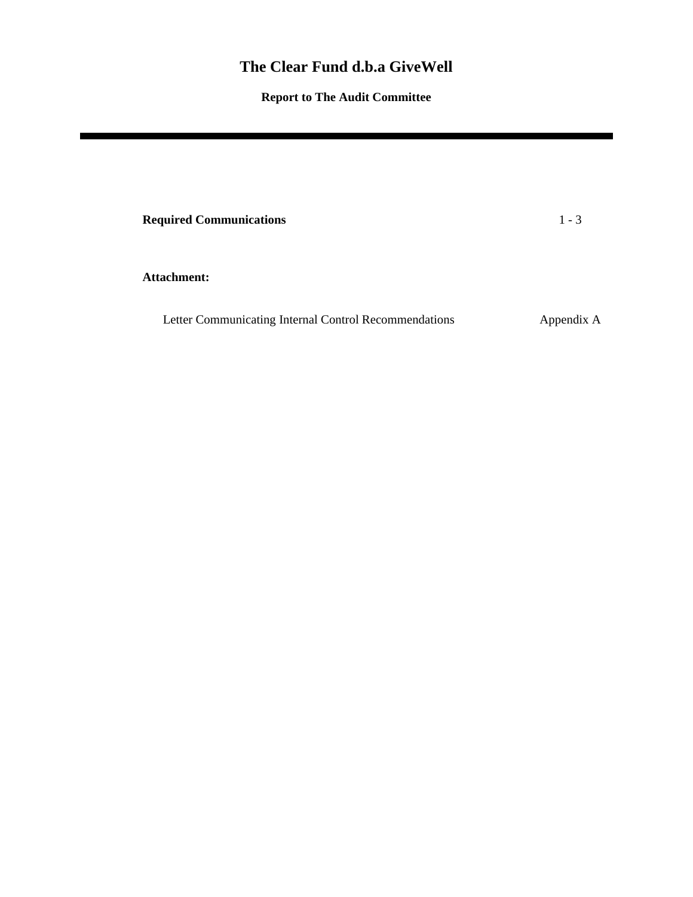**Report to The Audit Committee**

**Required Communications** 1 - 3

**Attachment:**

Letter Communicating Internal Control Recommendations Appendix A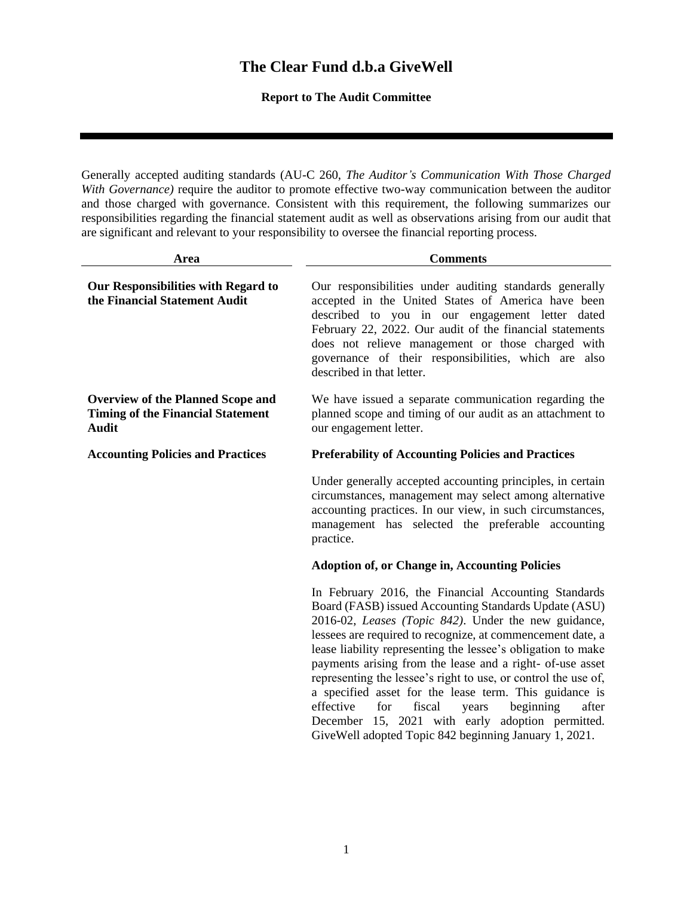## **Report to The Audit Committee**

Generally accepted auditing standards (AU-C 260, *The Auditor's Communication With Those Charged With Governance)* require the auditor to promote effective two-way communication between the auditor and those charged with governance. Consistent with this requirement, the following summarizes our responsibilities regarding the financial statement audit as well as observations arising from our audit that are significant and relevant to your responsibility to oversee the financial reporting process.

| Area                                                                                                 | <b>Comments</b>                                                                                                                                                                                                                                                                                                                                                                                                                                                                                                                                                                                                                                                        |
|------------------------------------------------------------------------------------------------------|------------------------------------------------------------------------------------------------------------------------------------------------------------------------------------------------------------------------------------------------------------------------------------------------------------------------------------------------------------------------------------------------------------------------------------------------------------------------------------------------------------------------------------------------------------------------------------------------------------------------------------------------------------------------|
| Our Responsibilities with Regard to<br>the Financial Statement Audit                                 | Our responsibilities under auditing standards generally<br>accepted in the United States of America have been<br>described to you in our engagement letter dated<br>February 22, 2022. Our audit of the financial statements<br>does not relieve management or those charged with<br>governance of their responsibilities, which are also<br>described in that letter.                                                                                                                                                                                                                                                                                                 |
| <b>Overview of the Planned Scope and</b><br><b>Timing of the Financial Statement</b><br><b>Audit</b> | We have issued a separate communication regarding the<br>planned scope and timing of our audit as an attachment to<br>our engagement letter.                                                                                                                                                                                                                                                                                                                                                                                                                                                                                                                           |
| <b>Accounting Policies and Practices</b>                                                             | <b>Preferability of Accounting Policies and Practices</b>                                                                                                                                                                                                                                                                                                                                                                                                                                                                                                                                                                                                              |
|                                                                                                      | Under generally accepted accounting principles, in certain<br>circumstances, management may select among alternative<br>accounting practices. In our view, in such circumstances,<br>management has selected the preferable accounting<br>practice.                                                                                                                                                                                                                                                                                                                                                                                                                    |
|                                                                                                      | <b>Adoption of, or Change in, Accounting Policies</b>                                                                                                                                                                                                                                                                                                                                                                                                                                                                                                                                                                                                                  |
|                                                                                                      | In February 2016, the Financial Accounting Standards<br>Board (FASB) issued Accounting Standards Update (ASU)<br>2016-02, Leases (Topic 842). Under the new guidance,<br>lessees are required to recognize, at commencement date, a<br>lease liability representing the lessee's obligation to make<br>payments arising from the lease and a right- of-use asset<br>representing the lessee's right to use, or control the use of,<br>a specified asset for the lease term. This guidance is<br>effective<br>for<br>fiscal<br>beginning<br>after<br>years<br>December 15, 2021 with early adoption permitted.<br>GiveWell adopted Topic 842 beginning January 1, 2021. |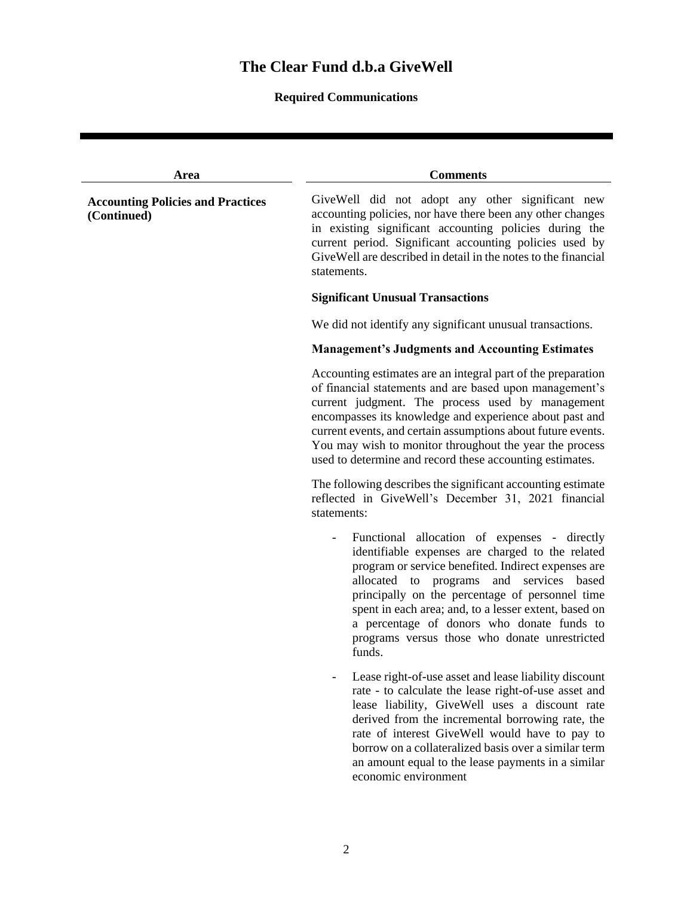# **Required Communications**

| Area                                                    | <b>Comments</b>                                                                                                                                                                                                                                                                                                                                                                                                               |
|---------------------------------------------------------|-------------------------------------------------------------------------------------------------------------------------------------------------------------------------------------------------------------------------------------------------------------------------------------------------------------------------------------------------------------------------------------------------------------------------------|
| <b>Accounting Policies and Practices</b><br>(Continued) | GiveWell did not adopt any other significant new<br>accounting policies, nor have there been any other changes<br>in existing significant accounting policies during the<br>current period. Significant accounting policies used by<br>GiveWell are described in detail in the notes to the financial<br>statements.                                                                                                          |
|                                                         | <b>Significant Unusual Transactions</b>                                                                                                                                                                                                                                                                                                                                                                                       |
|                                                         | We did not identify any significant unusual transactions.                                                                                                                                                                                                                                                                                                                                                                     |
|                                                         | <b>Management's Judgments and Accounting Estimates</b>                                                                                                                                                                                                                                                                                                                                                                        |
|                                                         | Accounting estimates are an integral part of the preparation<br>of financial statements and are based upon management's<br>current judgment. The process used by management<br>encompasses its knowledge and experience about past and<br>current events, and certain assumptions about future events.<br>You may wish to monitor throughout the year the process<br>used to determine and record these accounting estimates. |
|                                                         | The following describes the significant accounting estimate<br>reflected in GiveWell's December 31, 2021 financial<br>statements:                                                                                                                                                                                                                                                                                             |
|                                                         | Functional allocation of expenses - directly<br>identifiable expenses are charged to the related<br>program or service benefited. Indirect expenses are<br>and services based<br>allocated to programs<br>principally on the percentage of personnel time<br>spent in each area; and, to a lesser extent, based on<br>a percentage of donors who donate funds to<br>programs versus those who donate unrestricted<br>funds.   |
|                                                         | Lease right-of-use asset and lease liability discount<br>rate - to calculate the lease right-of-use asset and<br>lease liability, GiveWell uses a discount rate<br>derived from the incremental borrowing rate, the<br>rate of interest GiveWell would have to pay to<br>borrow on a collateralized basis over a similar term<br>an amount equal to the lease payments in a similar<br>economic environment                   |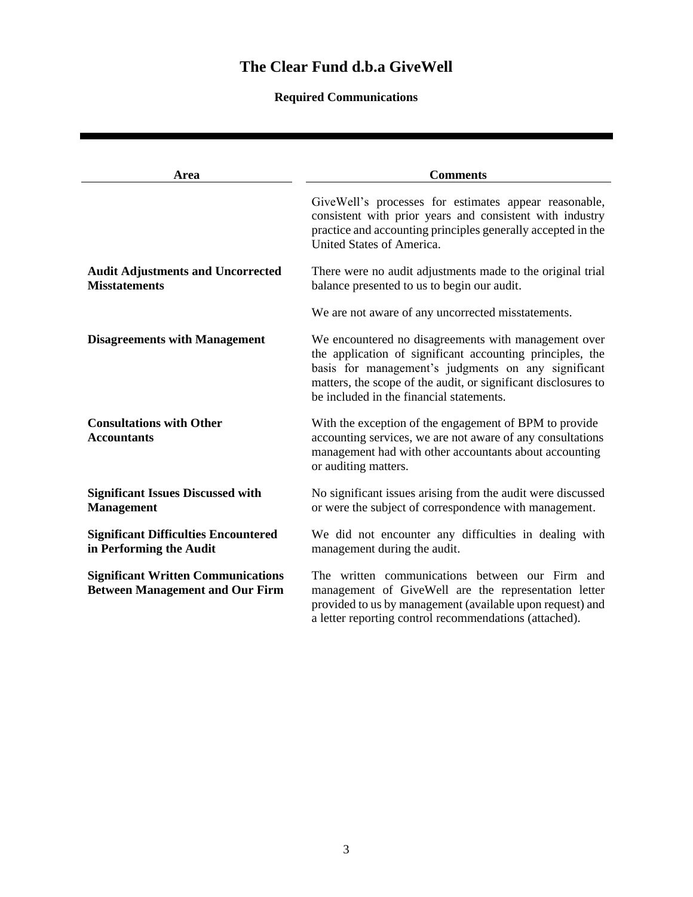# **Required Communications**

| Area                                                                                | <b>Comments</b>                                                                                                                                                                                                                                                                        |
|-------------------------------------------------------------------------------------|----------------------------------------------------------------------------------------------------------------------------------------------------------------------------------------------------------------------------------------------------------------------------------------|
|                                                                                     | GiveWell's processes for estimates appear reasonable,<br>consistent with prior years and consistent with industry<br>practice and accounting principles generally accepted in the<br>United States of America.                                                                         |
| <b>Audit Adjustments and Uncorrected</b><br><b>Misstatements</b>                    | There were no audit adjustments made to the original trial<br>balance presented to us to begin our audit.                                                                                                                                                                              |
|                                                                                     | We are not aware of any uncorrected misstatements.                                                                                                                                                                                                                                     |
| <b>Disagreements with Management</b>                                                | We encountered no disagreements with management over<br>the application of significant accounting principles, the<br>basis for management's judgments on any significant<br>matters, the scope of the audit, or significant disclosures to<br>be included in the financial statements. |
| <b>Consultations with Other</b><br><b>Accountants</b>                               | With the exception of the engagement of BPM to provide<br>accounting services, we are not aware of any consultations<br>management had with other accountants about accounting<br>or auditing matters.                                                                                 |
| <b>Significant Issues Discussed with</b><br><b>Management</b>                       | No significant issues arising from the audit were discussed<br>or were the subject of correspondence with management.                                                                                                                                                                  |
| <b>Significant Difficulties Encountered</b><br>in Performing the Audit              | We did not encounter any difficulties in dealing with<br>management during the audit.                                                                                                                                                                                                  |
| <b>Significant Written Communications</b><br><b>Between Management and Our Firm</b> | The written communications between our Firm and<br>management of GiveWell are the representation letter<br>provided to us by management (available upon request) and<br>a letter reporting control recommendations (attached).                                                         |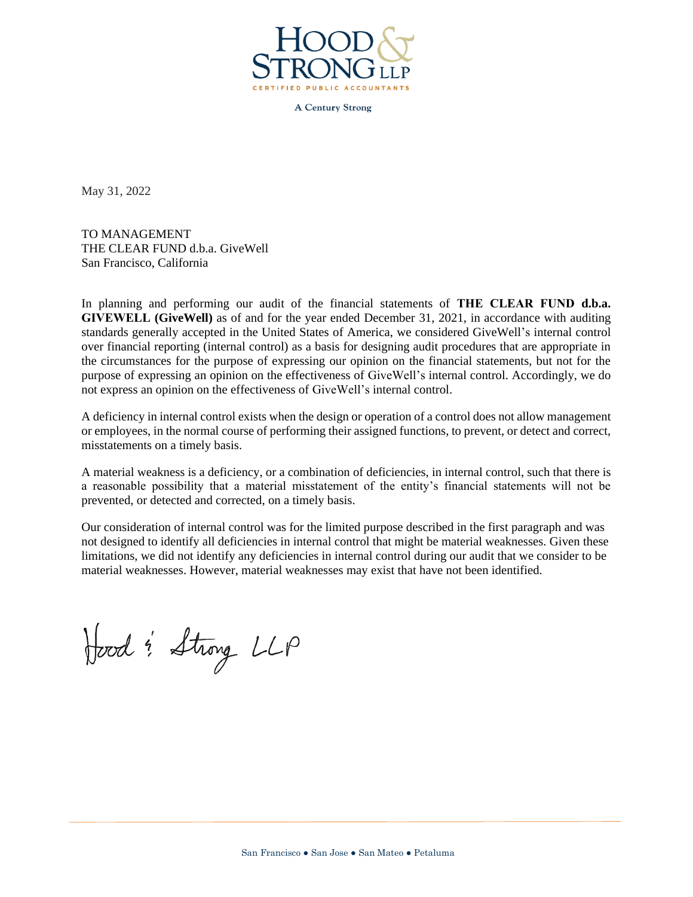

**A Century Strong** 

May 31, 2022

TO MANAGEMENT THE CLEAR FUND d.b.a. GiveWell San Francisco, California

In planning and performing our audit of the financial statements of **THE CLEAR FUND d.b.a. GIVEWELL (GiveWell)** as of and for the year ended December 31, 2021, in accordance with auditing standards generally accepted in the United States of America, we considered GiveWell's internal control over financial reporting (internal control) as a basis for designing audit procedures that are appropriate in the circumstances for the purpose of expressing our opinion on the financial statements, but not for the purpose of expressing an opinion on the effectiveness of GiveWell's internal control. Accordingly, we do not express an opinion on the effectiveness of GiveWell's internal control.

A deficiency in internal control exists when the design or operation of a control does not allow management or employees, in the normal course of performing their assigned functions, to prevent, or detect and correct, misstatements on a timely basis.

A material weakness is a deficiency, or a combination of deficiencies, in internal control, such that there is a reasonable possibility that a material misstatement of the entity's financial statements will not be prevented, or detected and corrected, on a timely basis.

Our consideration of internal control was for the limited purpose described in the first paragraph and was not designed to identify all deficiencies in internal control that might be material weaknesses. Given these limitations, we did not identify any deficiencies in internal control during our audit that we consider to be material weaknesses. However, material weaknesses may exist that have not been identified.

Hood : Strong LLP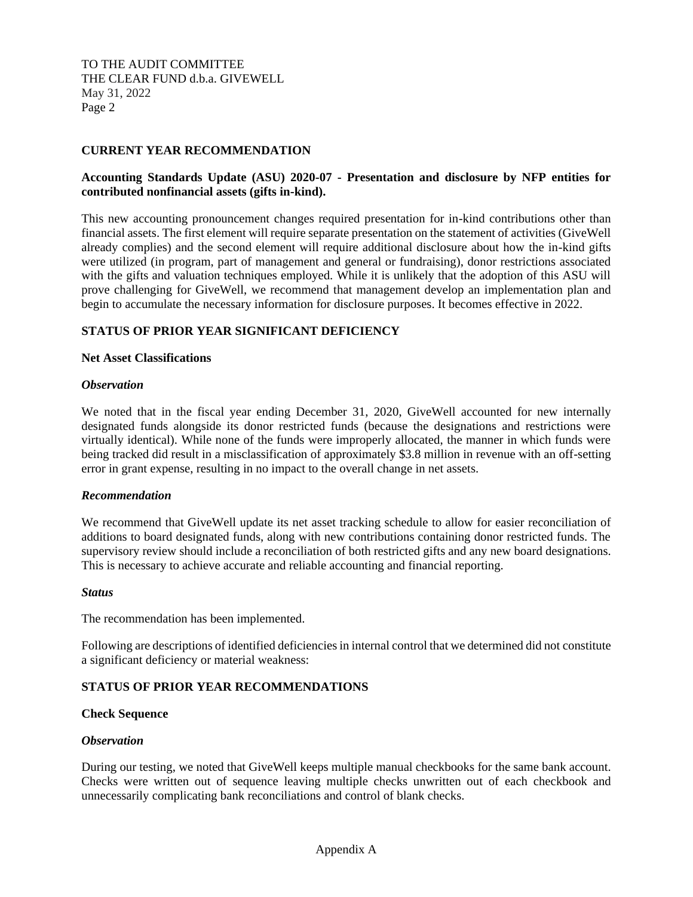TO THE AUDIT COMMITTEE THE CLEAR FUND d.b.a. GIVEWELL May 31, 2022 Page 2

## **CURRENT YEAR RECOMMENDATION**

# **Accounting Standards Update (ASU) 2020-07 - Presentation and disclosure by NFP entities for contributed nonfinancial assets (gifts in-kind).**

This new accounting pronouncement changes required presentation for in-kind contributions other than financial assets. The first element will require separate presentation on the statement of activities (GiveWell already complies) and the second element will require additional disclosure about how the in-kind gifts were utilized (in program, part of management and general or fundraising), donor restrictions associated with the gifts and valuation techniques employed. While it is unlikely that the adoption of this ASU will prove challenging for GiveWell, we recommend that management develop an implementation plan and begin to accumulate the necessary information for disclosure purposes. It becomes effective in 2022.

## **STATUS OF PRIOR YEAR SIGNIFICANT DEFICIENCY**

#### **Net Asset Classifications**

#### *Observation*

We noted that in the fiscal year ending December 31, 2020, GiveWell accounted for new internally designated funds alongside its donor restricted funds (because the designations and restrictions were virtually identical). While none of the funds were improperly allocated, the manner in which funds were being tracked did result in a misclassification of approximately \$3.8 million in revenue with an off-setting error in grant expense, resulting in no impact to the overall change in net assets.

#### *Recommendation*

We recommend that GiveWell update its net asset tracking schedule to allow for easier reconciliation of additions to board designated funds, along with new contributions containing donor restricted funds. The supervisory review should include a reconciliation of both restricted gifts and any new board designations. This is necessary to achieve accurate and reliable accounting and financial reporting.

#### *Status*

The recommendation has been implemented.

Following are descriptions of identified deficiencies in internal control that we determined did not constitute a significant deficiency or material weakness:

## **STATUS OF PRIOR YEAR RECOMMENDATIONS**

#### **Check Sequence**

#### *Observation*

During our testing, we noted that GiveWell keeps multiple manual checkbooks for the same bank account. Checks were written out of sequence leaving multiple checks unwritten out of each checkbook and unnecessarily complicating bank reconciliations and control of blank checks.